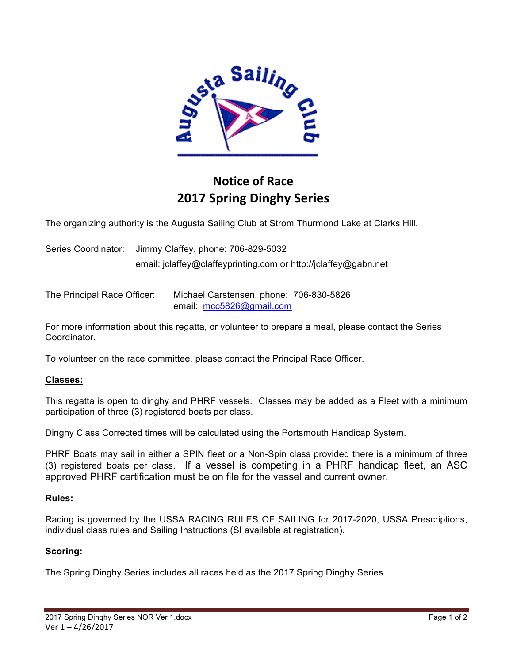

# **Notice of Race 2017 Spring Dinghy Series**

The organizing authority is the Augusta Sailing Club at Strom Thurmond Lake at Clarks Hill.

Series Coordinator: Jimmy Claffey, phone: 706-829-5032 email: jclaffey@claffeyprinting.com or http://jclaffey@gabn.net

The Principal Race Officer: Michael Carstensen, phone: 706-830-5826 email: mcc5826@gmail.com

For more information about this regatta, or volunteer to prepare a meal, please contact the Series Coordinator.

To volunteer on the race committee, please contact the Principal Race Officer.

## **Classes:**

This regatta is open to dinghy and PHRF vessels. Classes may be added as a Fleet with a minimum participation of three (3) registered boats per class.

Dinghy Class Corrected times will be calculated using the Portsmouth Handicap System.

PHRF Boats may sail in either a SPIN fleet or a Non-Spin class provided there is a minimum of three (3) registered boats per class. If a vessel is competing in a PHRF handicap fleet, an ASC approved PHRF certification must be on file for the vessel and current owner.

## **Rules:**

Racing is governed by the USSA RACING RULES OF SAILING for 2017-2020, USSA Prescriptions, individual class rules and Sailing Instructions (SI available at registration).

## **Scoring:**

The Spring Dinghy Series includes all races held as the 2017 Spring Dinghy Series.